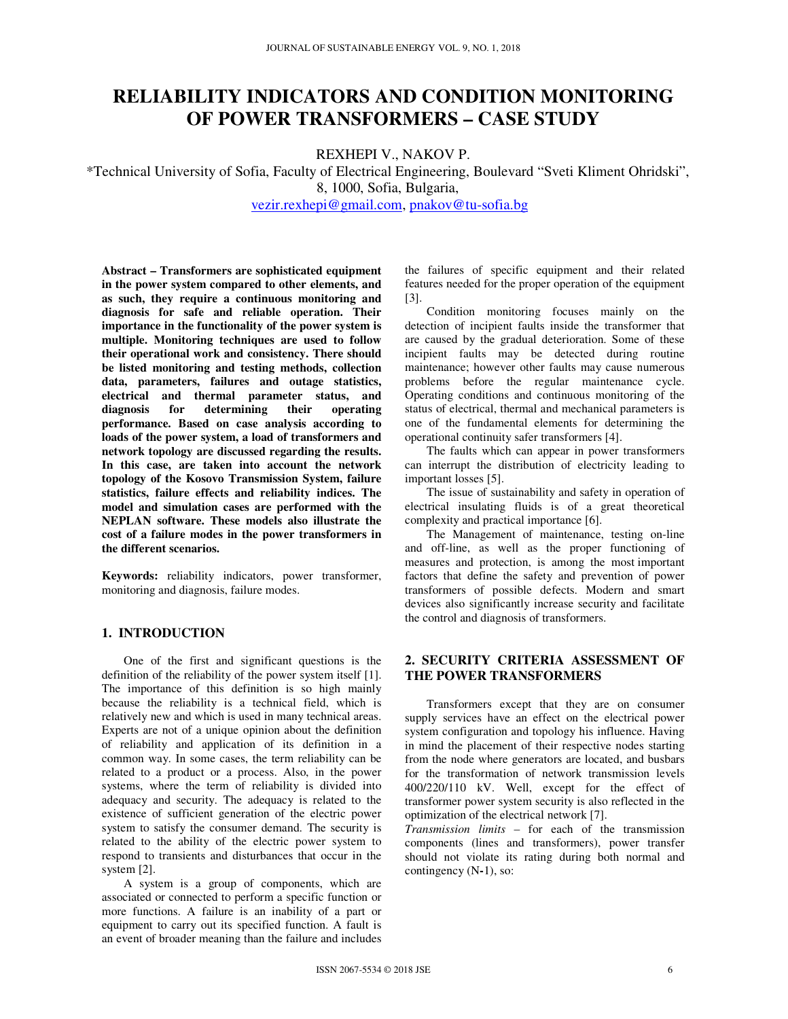# **RELIABILITY INDICATORS AND CONDITION MONITORING OF POWER TRANSFORMERS – CASE STUDY**

REXHEPI V., NAKOV P.

\*Technical University of Sofia, Faculty of Electrical Engineering, Boulevard "Sveti Kliment Ohridski", 8, 1000, Sofia, Bulgaria,

vezir.rexhepi@gmail.com, pnakov@tu-sofia.bg

**Abstract – Transformers are sophisticated equipment in the power system compared to other elements, and as such, they require a continuous monitoring and diagnosis for safe and reliable operation. Their importance in the functionality of the power system is multiple. Monitoring techniques are used to follow their operational work and consistency. There should be listed monitoring and testing methods, collection data, parameters, failures and outage statistics, electrical and thermal parameter status, and diagnosis for determining their operating performance. Based on case analysis according to loads of the power system, a load of transformers and network topology are discussed regarding the results. In this case, are taken into account the network topology of the Kosovo Transmission System, failure statistics, failure effects and reliability indices. The model and simulation cases are performed with the NEPLAN software. These models also illustrate the cost of a failure modes in the power transformers in the different scenarios.** 

**Keywords:** reliability indicators, power transformer, monitoring and diagnosis, failure modes.

#### **1. INTRODUCTION**

One of the first and significant questions is the definition of the reliability of the power system itself [1]. The importance of this definition is so high mainly because the reliability is a technical field, which is relatively new and which is used in many technical areas. Experts are not of a unique opinion about the definition of reliability and application of its definition in a common way. In some cases, the term reliability can be related to a product or a process. Also, in the power systems, where the term of reliability is divided into adequacy and security. The adequacy is related to the existence of sufficient generation of the electric power system to satisfy the consumer demand. The security is related to the ability of the electric power system to respond to transients and disturbances that occur in the system [2].

A system is a group of components, which are associated or connected to perform a specific function or more functions. A failure is an inability of a part or equipment to carry out its specified function. A fault is an event of broader meaning than the failure and includes

the failures of specific equipment and their related features needed for the proper operation of the equipment [3].

Condition monitoring focuses mainly on the detection of incipient faults inside the transformer that are caused by the gradual deterioration. Some of these incipient faults may be detected during routine maintenance; however other faults may cause numerous problems before the regular maintenance cycle. Operating conditions and continuous monitoring of the status of electrical, thermal and mechanical parameters is one of the fundamental elements for determining the operational continuity safer transformers [4].

The faults which can appear in power transformers can interrupt the distribution of electricity leading to important losses [5].

The issue of sustainability and safety in operation of electrical insulating fluids is of a great theoretical complexity and practical importance [6].

The Management of maintenance, testing on-line and off-line, as well as the proper functioning of measures and protection, is among the most important factors that define the safety and prevention of power transformers of possible defects. Modern and smart devices also significantly increase security and facilitate the control and diagnosis of transformers.

# **2. SECURITY CRITERIA ASSESSMENT OF THE POWER TRANSFORMERS**

Transformers except that they are on consumer supply services have an effect on the electrical power system configuration and topology his influence. Having in mind the placement of their respective nodes starting from the node where generators are located, and busbars for the transformation of network transmission levels 400/220/110 kV. Well, except for the effect of transformer power system security is also reflected in the optimization of the electrical network [7].

*Transmission limits* – for each of the transmission components (lines and transformers), power transfer should not violate its rating during both normal and contingency (N**-**1), so: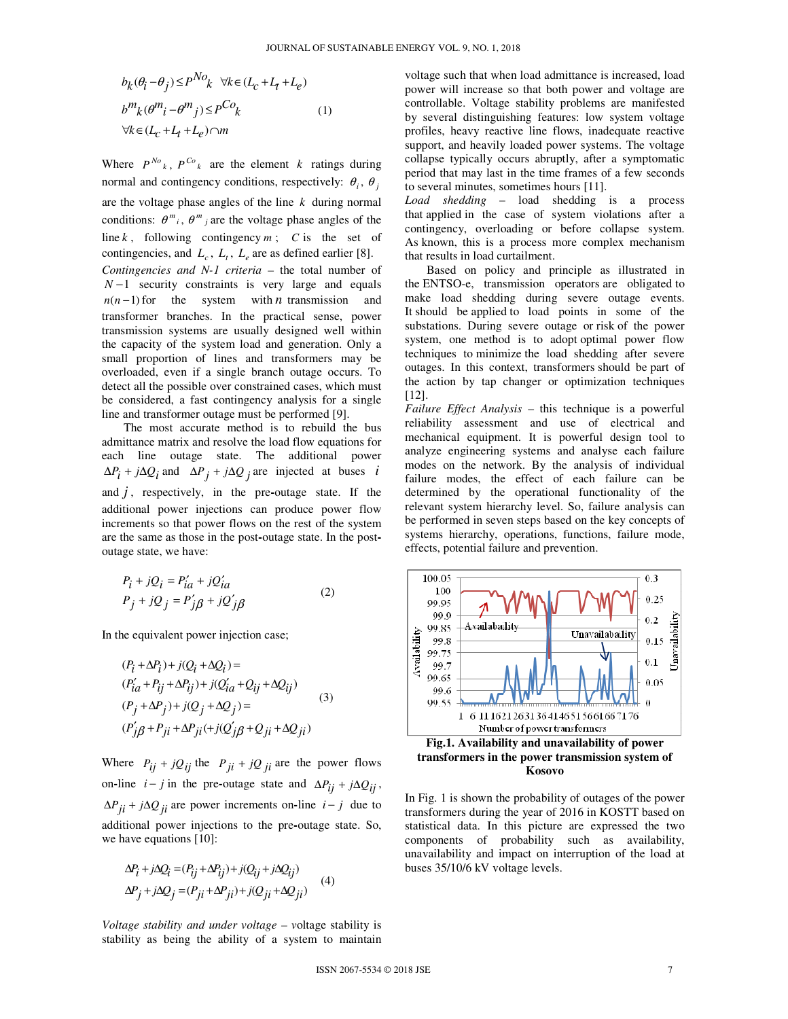$$
b_k(\theta_i - \theta_j) \le P^{No}k \quad \forall k \in (L_c + L_t + L_e)
$$
  
\n
$$
b^m k(\theta^m i - \theta^m j) \le P^{Co}k
$$
  
\n
$$
\forall k \in (L_c + L_t + L_e) \cap m
$$
 (1)

Where  $P^{N_o}$ ,  $P^{Co}$  *k* are the element *k* ratings during normal and contingency conditions, respectively:  $\theta_i$ ,  $\theta_j$ are the voltage phase angles of the line *k* during normal conditions:  $\theta^m_i$ ,  $\theta^m_j$  are the voltage phase angles of the line  $k$ , following contingency  $m$ ;  $C$  is the set of contingencies, and  $L_c$ ,  $L_t$ ,  $L_e$  are as defined earlier [8]. *Contingencies and N-1 criteria –* the total number of *N* −1 security constraints is very large and equals  $n(n-1)$  for the system with *n* transmission and transformer branches. In the practical sense, power transmission systems are usually designed well within the capacity of the system load and generation. Only a small proportion of lines and transformers may be overloaded, even if a single branch outage occurs. To detect all the possible over constrained cases, which must be considered, a fast contingency analysis for a single line and transformer outage must be performed [9].

 The most accurate method is to rebuild the bus admittance matrix and resolve the load flow equations for each line outage state. The additional power  $\Delta P_i + j\Delta Q_i$  and  $\Delta P_j + j\Delta Q_j$  are injected at buses *i* and  $j$ , respectively, in the pre-outage state. If the additional power injections can produce power flow increments so that power flows on the rest of the system are the same as those in the post**-**outage state. In the postoutage state, we have:

$$
P_i + jQ_i = P'_{ia} + jQ'_{ia}
$$
  
\n
$$
P_j + jQ_j = P'_{j}\beta + jQ'_{j}\beta
$$
 (2)

In the equivalent power injection case;

$$
(P_i + \Delta P_i) + j(Q_i + \Delta Q_i) =
$$
  
\n
$$
(P'_{ia} + P_{ij} + \Delta P_{ij}) + j(Q'_{ia} + Q_{ij} + \Delta Q_{ij})
$$
  
\n
$$
(P_j + \Delta P_j) + j(Q_j + \Delta Q_j) =
$$
  
\n
$$
(P'_{j\beta} + P_{ji} + \Delta P_{ji} + j(Q'_{j\beta} + Q_{ji} + \Delta Q_{ji})
$$
  
\n(3)

Where  $P_{ij} + jQ_{ij}$  the  $P_{ji} + jQ_{ji}$  are the power flows on-line  $i - j$  in the pre-outage state and  $\Delta P_{ij} + j \Delta Q_{ij}$ ,  $\Delta P_{ji} + j\Delta Q_{ji}$  are power increments on-line  $i - j$  due to additional power injections to the pre**-**outage state. So, we have equations [10]:

$$
\Delta P_i + j\Delta Q_i = (P_{ij} + \Delta P_{ij}) + j(Q_{ij} + j\Delta Q_{ij})
$$
  
\n
$$
\Delta P_j + j\Delta Q_j = (P_{ji} + \Delta P_{ji}) + j(Q_{ji} + \Delta Q_{ji})
$$
\n(4)

*Voltage stability and under voltage – v*oltage stability is stability as being the ability of a system to maintain voltage such that when load admittance is increased, load power will increase so that both power and voltage are controllable. Voltage stability problems are manifested by several distinguishing features: low system voltage profiles, heavy reactive line flows, inadequate reactive support, and heavily loaded power systems. The voltage collapse typically occurs abruptly, after a symptomatic period that may last in the time frames of a few seconds to several minutes, sometimes hours [11].

*Load shedding* – load shedding is a process that applied in the case of system violations after a contingency, overloading or before collapse system. As known, this is a process more complex mechanism that results in load curtailment.

Based on policy and principle as illustrated in the ENTSO-e, transmission operators are obligated to make load shedding during severe outage events. It should be applied to load points in some of the substations. During severe outage or risk of the power system, one method is to adopt optimal power flow techniques to minimize the load shedding after severe outages. In this context, transformers should be part of the action by tap changer or optimization techniques [12].

*Failure Effect Analysis* – this technique is a powerful reliability assessment and use of electrical and mechanical equipment. It is powerful design tool to analyze engineering systems and analyse each failure modes on the network. By the analysis of individual failure modes, the effect of each failure can be determined by the operational functionality of the relevant system hierarchy level. So, failure analysis can be performed in seven steps based on the key concepts of systems hierarchy, operations, functions, failure mode, effects, potential failure and prevention.



**Kosovo** 

In Fig. 1 is shown the probability of outages of the power transformers during the year of 2016 in KOSTT based on statistical data. In this picture are expressed the two components of probability such as availability, unavailability and impact on interruption of the load at buses 35/10/6 kV voltage levels.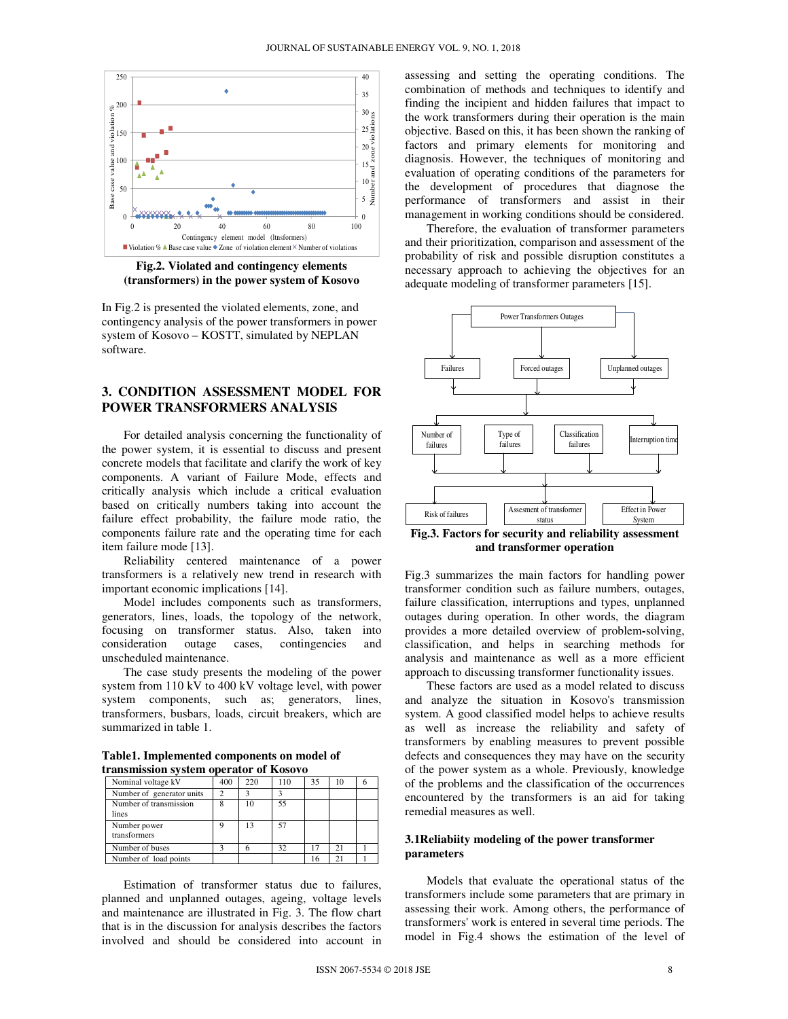

**Fig.2. Violated and contingency elements (transformers) in the power system of Kosovo**

In Fig.2 is presented the violated elements, zone, and contingency analysis of the power transformers in power system of Kosovo – KOSTT, simulated by NEPLAN software.

## **3. CONDITION ASSESSMENT MODEL FOR POWER TRANSFORMERS ANALYSIS**

For detailed analysis concerning the functionality of the power system, it is essential to discuss and present concrete models that facilitate and clarify the work of key components. A variant of Failure Mode, effects and critically analysis which include a critical evaluation based on critically numbers taking into account the failure effect probability, the failure mode ratio, the components failure rate and the operating time for each item failure mode [13].

Reliability centered maintenance of a power transformers is a relatively new trend in research with important economic implications [14].

Model includes components such as transformers, generators, lines, loads, the topology of the network, focusing on transformer status. Also, taken into consideration outage cases, contingencies and unscheduled maintenance.

The case study presents the modeling of the power system from 110 kV to 400 kV voltage level, with power system components, such as; generators, lines, transformers, busbars, loads, circuit breakers, which are summarized in table 1.

**Table1. Implemented components on model of transmission system operator of Kosovo** 

| u anshiission sysicm operator or Kosovo |     |     |     |    |                |  |
|-----------------------------------------|-----|-----|-----|----|----------------|--|
| Nominal voltage kV                      | 400 | 220 | 110 | 35 | 10             |  |
| Number of generator units               |     |     | ٩   |    |                |  |
| Number of transmission<br>lines         | 8   | 10  | 55  |    |                |  |
| Number power<br>transformers            | 9   | 13  | 57  |    |                |  |
| Number of buses                         |     |     | 32  | 17 | 21             |  |
| Number of load points                   |     |     |     | 16 | 2 <sub>1</sub> |  |

Estimation of transformer status due to failures, planned and unplanned outages, ageing, voltage levels and maintenance are illustrated in Fig. 3. The flow chart that is in the discussion for analysis describes the factors involved and should be considered into account in assessing and setting the operating conditions. The combination of methods and techniques to identify and finding the incipient and hidden failures that impact to the work transformers during their operation is the main objective. Based on this, it has been shown the ranking of factors and primary elements for monitoring and diagnosis. However, the techniques of monitoring and evaluation of operating conditions of the parameters for the development of procedures that diagnose the performance of transformers and assist in their management in working conditions should be considered.

Therefore, the evaluation of transformer parameters and their prioritization, comparison and assessment of the probability of risk and possible disruption constitutes a necessary approach to achieving the objectives for an adequate modeling of transformer parameters [15].



**Fig.3. Factors for security and reliability assessment and transformer operation** 

Fig.3 summarizes the main factors for handling power transformer condition such as failure numbers, outages, failure classification, interruptions and types, unplanned outages during operation. In other words, the diagram provides a more detailed overview of problem**-**solving, classification, and helps in searching methods for analysis and maintenance as well as a more efficient approach to discussing transformer functionality issues.

 These factors are used as a model related to discuss and analyze the situation in Kosovo's transmission system. A good classified model helps to achieve results as well as increase the reliability and safety of transformers by enabling measures to prevent possible defects and consequences they may have on the security of the power system as a whole. Previously, knowledge of the problems and the classification of the occurrences encountered by the transformers is an aid for taking remedial measures as well.

#### **3.1Reliabiity modeling of the power transformer parameters**

Models that evaluate the operational status of the transformers include some parameters that are primary in assessing their work. Among others, the performance of transformers' work is entered in several time periods. The model in Fig.4 shows the estimation of the level of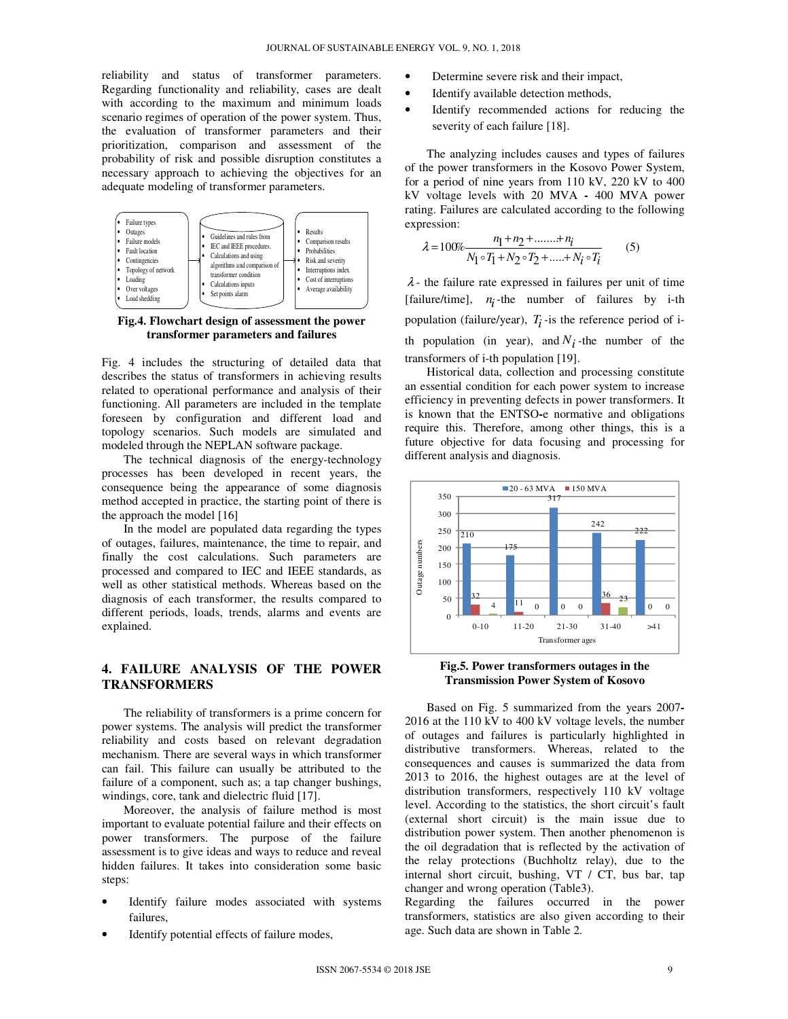reliability and status of transformer parameters. Regarding functionality and reliability, cases are dealt with according to the maximum and minimum loads scenario regimes of operation of the power system. Thus, the evaluation of transformer parameters and their prioritization, comparison and assessment of the probability of risk and possible disruption constitutes a necessary approach to achieving the objectives for an adequate modeling of transformer parameters.



**Fig.4. Flowchart design of assessment the power transformer parameters and failures** 

Fig. 4 includes the structuring of detailed data that describes the status of transformers in achieving results related to operational performance and analysis of their functioning. All parameters are included in the template foreseen by configuration and different load and topology scenarios. Such models are simulated and modeled through the NEPLAN software package.

The technical diagnosis of the energy-technology processes has been developed in recent years, the consequence being the appearance of some diagnosis method accepted in practice, the starting point of there is the approach the model [16]

In the model are populated data regarding the types of outages, failures, maintenance, the time to repair, and finally the cost calculations. Such parameters are processed and compared to IEC and IEEE standards, as well as other statistical methods. Whereas based on the diagnosis of each transformer, the results compared to different periods, loads, trends, alarms and events are explained.

### **4. FAILURE ANALYSIS OF THE POWER TRANSFORMERS**

The reliability of transformers is a prime concern for power systems. The analysis will predict the transformer reliability and costs based on relevant degradation mechanism. There are several ways in which transformer can fail. This failure can usually be attributed to the failure of a component, such as; a tap changer bushings, windings, core, tank and dielectric fluid [17].

Moreover, the analysis of failure method is most important to evaluate potential failure and their effects on power transformers. The purpose of the failure assessment is to give ideas and ways to reduce and reveal hidden failures. It takes into consideration some basic steps:

- Identify failure modes associated with systems failures,
- Identify potential effects of failure modes,
- Determine severe risk and their impact,
- Identify available detection methods,
- Identify recommended actions for reducing the severity of each failure [18].

The analyzing includes causes and types of failures of the power transformers in the Kosovo Power System, for a period of nine years from 110 kV, 220 kV to 400 kV voltage levels with 20 MVA **-** 400 MVA power rating. Failures are calculated according to the following expression:

$$
\lambda = 100\% \frac{n_1 + n_2 + \dots + n_i}{N_1 \circ T_1 + N_2 \circ T_2 + \dots + N_i \circ T_i}
$$
 (5)

 $\lambda$ - the failure rate expressed in failures per unit of time [failure/time],  $n_i$ -the number of failures by i-th population (failure/year),  $T_i$ -is the reference period of ith population (in year), and  $N_i$ -the number of the transformers of i-th population [19].

Historical data, collection and processing constitute an essential condition for each power system to increase efficiency in preventing defects in power transformers. It is known that the ENTSO**-**e normative and obligations require this. Therefore, among other things, this is a future objective for data focusing and processing for different analysis and diagnosis.



**Fig.5. Power transformers outages in the Transmission Power System of Kosovo** 

Based on Fig. 5 summarized from the years 2007**-** 2016 at the 110 kV to 400 kV voltage levels, the number of outages and failures is particularly highlighted in distributive transformers. Whereas, related to the consequences and causes is summarized the data from 2013 to 2016, the highest outages are at the level of distribution transformers, respectively 110 kV voltage level. According to the statistics, the short circuit's fault (external short circuit) is the main issue due to distribution power system. Then another phenomenon is the oil degradation that is reflected by the activation of the relay protections (Buchholtz relay), due to the internal short circuit, bushing, VT / CT, bus bar, tap changer and wrong operation (Table3).

Regarding the failures occurred in the power transformers, statistics are also given according to their age. Such data are shown in Table 2.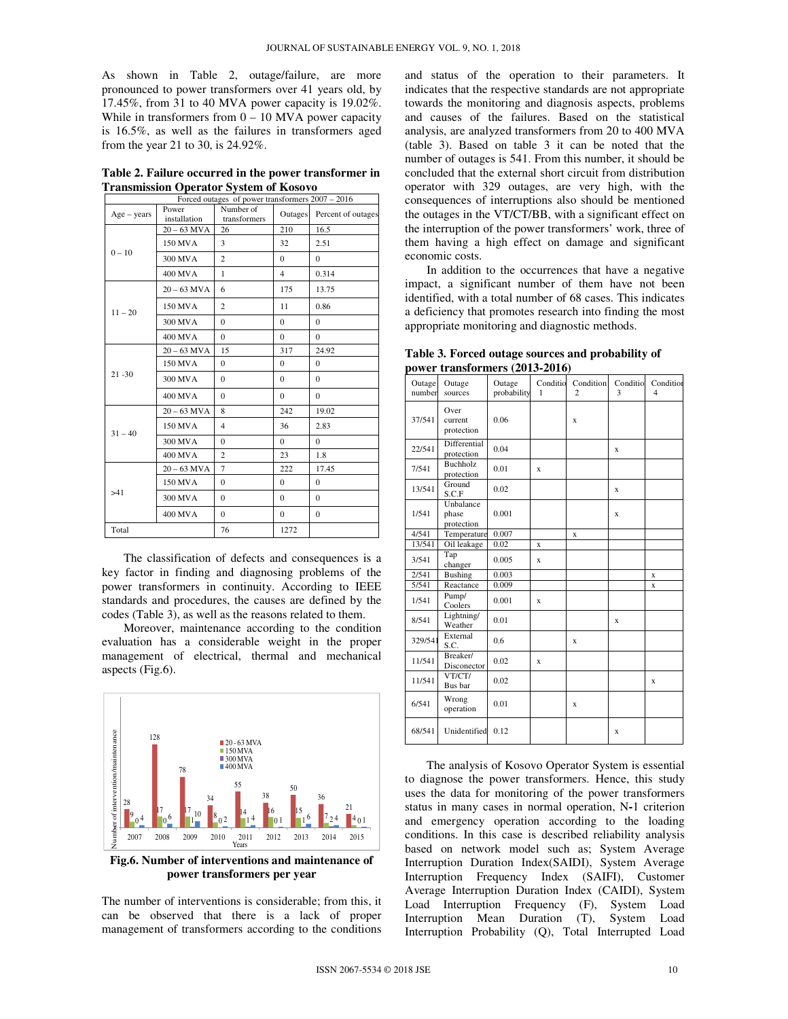As shown in Table 2, outage/failure, are more pronounced to power transformers over 41 years old, by 17.45%, from 31 to 40 MVA power capacity is 19.02%. While in transformers from  $0 - 10$  MVA power capacity is 16.5%, as well as the failures in transformers aged from the year 21 to 30, is 24.92%.

**Table 2. Failure occurred in the power transformer in Transmission Operator System of Kosovo** 

| Forced outages of power transformers 2007 - 2016 |                       |                           |                |                    |  |  |  |
|--------------------------------------------------|-----------------------|---------------------------|----------------|--------------------|--|--|--|
| $Age - years$                                    | Power<br>installation | Number of<br>transformers | Outages        | Percent of outages |  |  |  |
|                                                  | $20 - 63$ MVA         | 26                        | 210            | 16.5               |  |  |  |
|                                                  | 150 MVA               | 3                         | 32             | 2.51               |  |  |  |
| $0 - 10$                                         | 300 MVA               | $\overline{c}$            | $\Omega$       | $\Omega$           |  |  |  |
|                                                  | 400 MVA               | 1                         | $\overline{4}$ | 0.314              |  |  |  |
|                                                  | $20 - 63$ MVA         | 6                         | 175            | 13.75              |  |  |  |
| $11 - 20$                                        | 150 MVA               | $\overline{c}$            | 11             | 0.86               |  |  |  |
|                                                  | 300 MVA               | $\Omega$                  | $\Omega$       | $\Omega$           |  |  |  |
|                                                  | 400 MVA               | $\Omega$                  | $\Omega$       | $\Omega$           |  |  |  |
|                                                  | $20 - 63$ MVA         | 15                        | 317            | 24.92              |  |  |  |
|                                                  | 150 MVA               | $\mathbf{0}$              | $\Omega$       | $\Omega$           |  |  |  |
| $21 - 30$                                        | 300 MVA               | $\Omega$                  | $\Omega$       | $\Omega$           |  |  |  |
|                                                  | 400 MVA               | $\Omega$                  | $\Omega$       | $\Omega$           |  |  |  |
|                                                  | $20 - 63$ MVA         | 8                         | 242            | 19.02              |  |  |  |
| $31 - 40$                                        | 150 MVA               | $\overline{4}$            | 36             | 2.83               |  |  |  |
|                                                  | 300 MVA               | $\Omega$                  | $\Omega$       | $\Omega$           |  |  |  |
|                                                  | 400 MVA               | $\overline{c}$            | 23             | 1.8                |  |  |  |
|                                                  | $20 - 63$ MVA         | $\overline{7}$            | 222            | 17.45              |  |  |  |
|                                                  | 150 MVA               | $\mathbf{0}$              | $\Omega$       | $\Omega$           |  |  |  |
| >41                                              | 300 MVA               | $\Omega$                  | $\Omega$       | $\Omega$           |  |  |  |
|                                                  | 400 MVA               | $\mathbf{0}$              | $\Omega$       | $\Omega$           |  |  |  |
| Total                                            |                       | 76                        | 1272           |                    |  |  |  |

The classification of defects and consequences is a key factor in finding and diagnosing problems of the power transformers in continuity. According to IEEE standards and procedures, the causes are defined by the codes (Table 3), as well as the reasons related to them.

Moreover, maintenance according to the condition evaluation has a considerable weight in the proper management of electrical, thermal and mechanical aspects (Fig.6).



**Fig.6. Number of interventions and maintenance of power transformers per year** 

The number of interventions is considerable; from this, it can be observed that there is a lack of proper management of transformers according to the conditions and status of the operation to their parameters. It indicates that the respective standards are not appropriate towards the monitoring and diagnosis aspects, problems and causes of the failures. Based on the statistical analysis, are analyzed transformers from 20 to 400 MVA (table 3). Based on table 3 it can be noted that the number of outages is 541. From this number, it should be concluded that the external short circuit from distribution operator with 329 outages, are very high, with the consequences of interruptions also should be mentioned the outages in the VT/CT/BB, with a significant effect on the interruption of the power transformers' work, three of them having a high effect on damage and significant economic costs.

In addition to the occurrences that have a negative impact, a significant number of them have not been identified, with a total number of 68 cases. This indicates a deficiency that promotes research into finding the most appropriate monitoring and diagnostic methods.

| power transformers (2013-2016) |                               |                       |  |                    |  |                    |  |  |  |
|--------------------------------|-------------------------------|-----------------------|--|--------------------|--|--------------------|--|--|--|
| Outage<br>number               | Outage<br>sources             | Outage<br>probability |  | Conditio Condition |  | Conditio Condition |  |  |  |
| 37/541                         | Over<br>current<br>protection | 0.06                  |  |                    |  |                    |  |  |  |

**Table 3. Forced outage sources and probability of** 

|         |                                  | $\mu$ obubling |   |   |   |             |
|---------|----------------------------------|----------------|---|---|---|-------------|
| 37/541  | Over<br>current<br>protection    | 0.06           |   | X |   |             |
| 22/541  | Differential<br>protection       | 0.04           |   |   | X |             |
| 7/541   | Buchholz<br>protection           | 0.01           | X |   |   |             |
| 13/541  | Ground<br>S.C.F                  | 0.02           |   |   | X |             |
| 1/541   | Unbalance<br>phase<br>protection | 0.001          |   |   | X |             |
| 4/541   | Temperature                      | 0.007          |   | X |   |             |
| 13/541  | Oil leakage                      | 0.02           | X |   |   |             |
| 3/541   | Tap<br>changer                   | 0.005          | X |   |   |             |
| 2/541   | <b>Bushing</b>                   | 0.003          |   |   |   | $\mathbf x$ |
| 5/541   | Reactance                        | 0.009          |   |   |   | X           |
| 1/541   | Pump/<br>Coolers                 | 0.001          | X |   |   |             |
| 8/541   | Lightning/<br>Weather            | 0.01           |   |   | X |             |
| 329/541 | External<br>S.C.                 | 0.6            |   | X |   |             |
| 11/541  | Breaker/<br>Disconector          | 0.02           | X |   |   |             |
| 11/541  | VT/CT/<br>Bus bar                | 0.02           |   |   |   | X           |
| 6/541   | Wrong<br>operation               | 0.01           |   | X |   |             |
| 68/541  | Unidentified                     | 0.12           |   |   | x |             |
|         |                                  |                |   |   |   |             |

The analysis of Kosovo Operator System is essential to diagnose the power transformers. Hence, this study uses the data for monitoring of the power transformers status in many cases in normal operation, N**-**1 criterion and emergency operation according to the loading conditions. In this case is described reliability analysis based on network model such as; System Average Interruption Duration Index(SAIDI), System Average Interruption Frequency Index (SAIFI), Customer Average Interruption Duration Index (CAIDI), System Load Interruption Frequency (F), System Load Interruption Mean Duration (T), System Load Interruption Probability (Q), Total Interrupted Load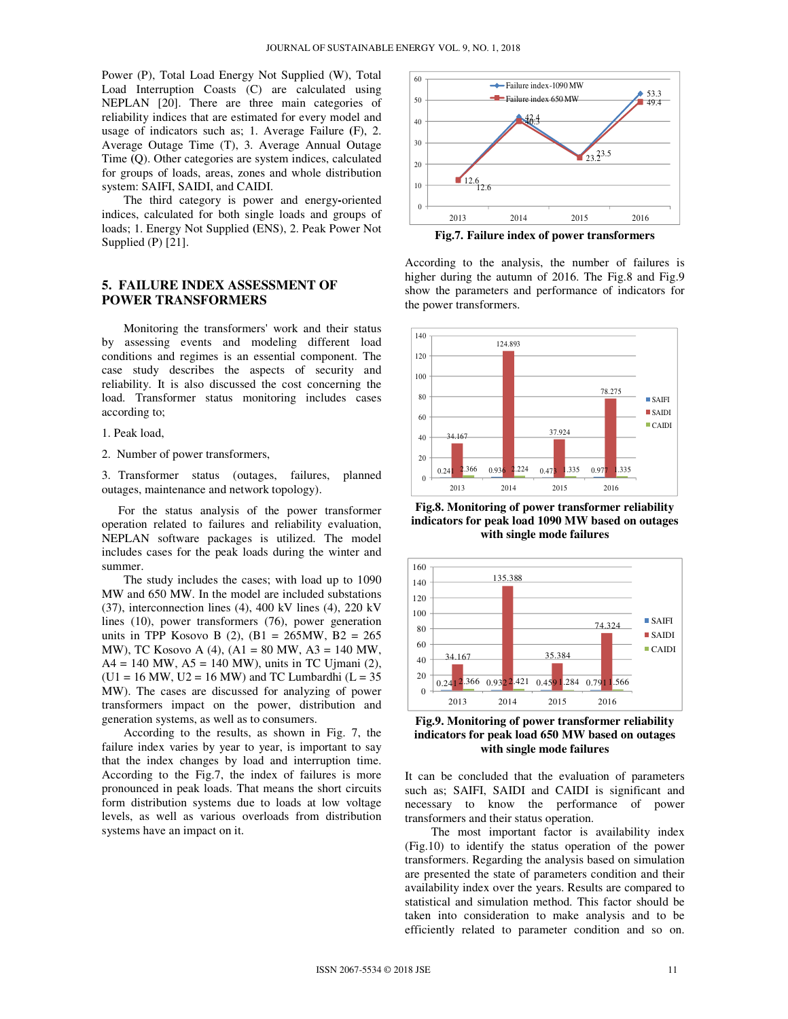Power (P), Total Load Energy Not Supplied (W), Total Load Interruption Coasts (C) are calculated using NEPLAN [20]. There are three main categories of reliability indices that are estimated for every model and usage of indicators such as; 1. Average Failure **(**F), 2. Average Outage Time (T), 3. Average Annual Outage Time **(**Q). Other categories are system indices, calculated for groups of loads, areas, zones and whole distribution system: SAIFI, SAIDI, and CAIDI.

The third category is power and energy**-**oriented indices, calculated for both single loads and groups of loads; 1. Energy Not Supplied **(**ENS), 2. Peak Power Not Supplied (P) [21].

#### **5. FAILURE INDEX ASSESSMENT OF POWER TRANSFORMERS**

Monitoring the transformers' work and their status by assessing events and modeling different load conditions and regimes is an essential component. The case study describes the aspects of security and reliability. It is also discussed the cost concerning the load. Transformer status monitoring includes cases according to;

1. Peak load,

2. Number of power transformers,

3. Transformer status (outages, failures, planned outages, maintenance and network topology).

 For the status analysis of the power transformer operation related to failures and reliability evaluation, NEPLAN software packages is utilized. The model includes cases for the peak loads during the winter and summer.

The study includes the cases; with load up to 1090 MW and 650 MW. In the model are included substations (37), interconnection lines (4), 400 kV lines (4), 220 kV lines (10), power transformers (76), power generation units in TPP Kosovo B (2),  $(B1 = 265MW, B2 = 265$ MW), TC Kosovo A (4), (A1 = 80 MW, A3 = 140 MW,  $A4 = 140$  MW,  $A5 = 140$  MW), units in TC Ujmani (2),  $(U1 = 16 MW, U2 = 16 MW)$  and TC Lumbardhi  $(L = 35$ MW). The cases are discussed for analyzing of power transformers impact on the power, distribution and generation systems, as well as to consumers.

According to the results, as shown in Fig. 7, the failure index varies by year to year, is important to say that the index changes by load and interruption time. According to the Fig.7, the index of failures is more pronounced in peak loads. That means the short circuits form distribution systems due to loads at low voltage levels, as well as various overloads from distribution systems have an impact on it.



**Fig.7. Failure index of power transformers** 

According to the analysis, the number of failures is higher during the autumn of 2016. The Fig.8 and Fig.9 show the parameters and performance of indicators for the power transformers.



**Fig.8. Monitoring of power transformer reliability indicators for peak load 1090 MW based on outages with single mode failures** 



**Fig.9. Monitoring of power transformer reliability indicators for peak load 650 MW based on outages with single mode failures** 

It can be concluded that the evaluation of parameters such as; SAIFI, SAIDI and CAIDI is significant and necessary to know the performance of power transformers and their status operation.

 The most important factor is availability index (Fig.10) to identify the status operation of the power transformers. Regarding the analysis based on simulation are presented the state of parameters condition and their availability index over the years. Results are compared to statistical and simulation method. This factor should be taken into consideration to make analysis and to be efficiently related to parameter condition and so on.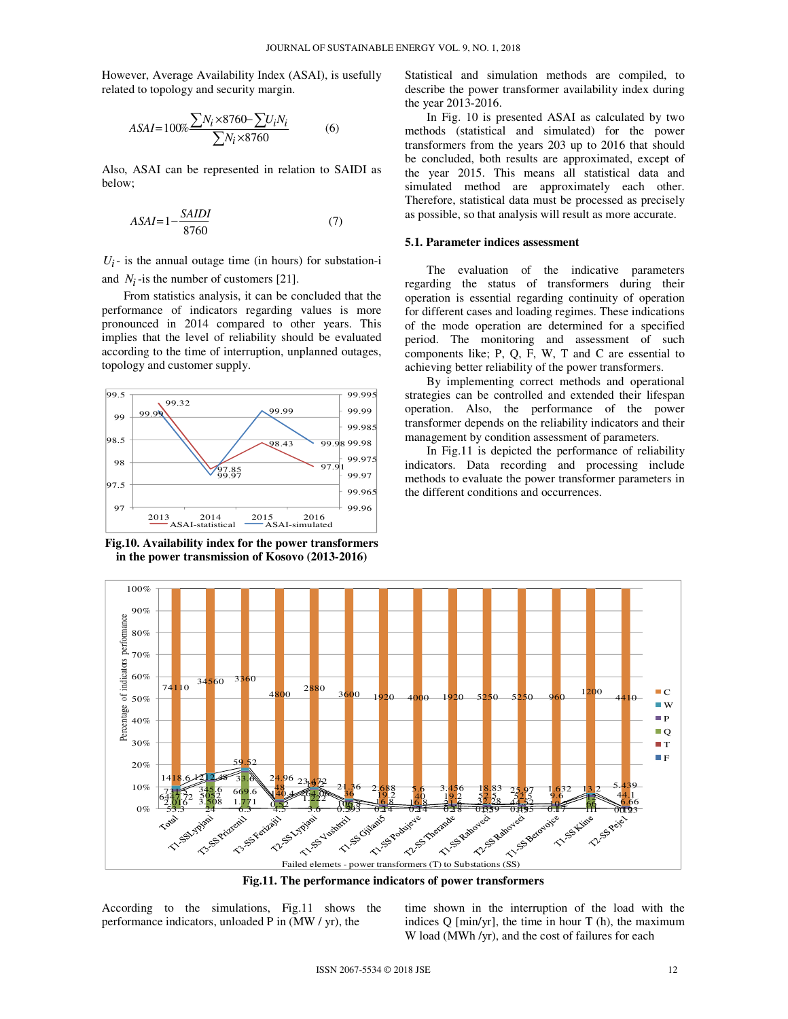However, Average Availability Index (ASAI), is usefully related to topology and security margin.

$$
ASAI = 100\% \frac{\sum N_i \times 8760 - \sum U_i N_i}{\sum N_i \times 8760} \tag{6}
$$

Also, ASAI can be represented in relation to SAIDI as below;

$$
ASAI = 1 - \frac{SAIDI}{8760} \tag{7}
$$

 $U_i$ <sup>-</sup> is the annual outage time (in hours) for substation-i and  $N_i$ -is the number of customers [21].

From statistics analysis, it can be concluded that the performance of indicators regarding values is more pronounced in 2014 compared to other years. This implies that the level of reliability should be evaluated according to the time of interruption, unplanned outages, topology and customer supply.



**Fig.10. Availability index for the power transformers in the power transmission of Kosovo (2013-2016)** 

Statistical and simulation methods are compiled, to describe the power transformer availability index during the year 2013-2016.

In Fig. 10 is presented ASAI as calculated by two methods (statistical and simulated) for the power transformers from the years 203 up to 2016 that should be concluded, both results are approximated, except of the year 2015. This means all statistical data and simulated method are approximately each other. Therefore, statistical data must be processed as precisely as possible, so that analysis will result as more accurate.

#### **5.1. Parameter indices assessment**

The evaluation of the indicative parameters regarding the status of transformers during their operation is essential regarding continuity of operation for different cases and loading regimes. These indications of the mode operation are determined for a specified period. The monitoring and assessment of such components like; P, Q, F, W, T and C are essential to achieving better reliability of the power transformers.

By implementing correct methods and operational strategies can be controlled and extended their lifespan operation. Also, the performance of the power transformer depends on the reliability indicators and their management by condition assessment of parameters.

In Fig.11 is depicted the performance of reliability indicators. Data recording and processing include methods to evaluate the power transformer parameters in the different conditions and occurrences.



**Fig.11. The performance indicators of power transformers** 

According to the simulations, Fig.11 shows the performance indicators, unloaded P in (MW / yr), the

time shown in the interruption of the load with the indices  $Q$  [min/yr], the time in hour  $T$  (h), the maximum W load (MWh /yr), and the cost of failures for each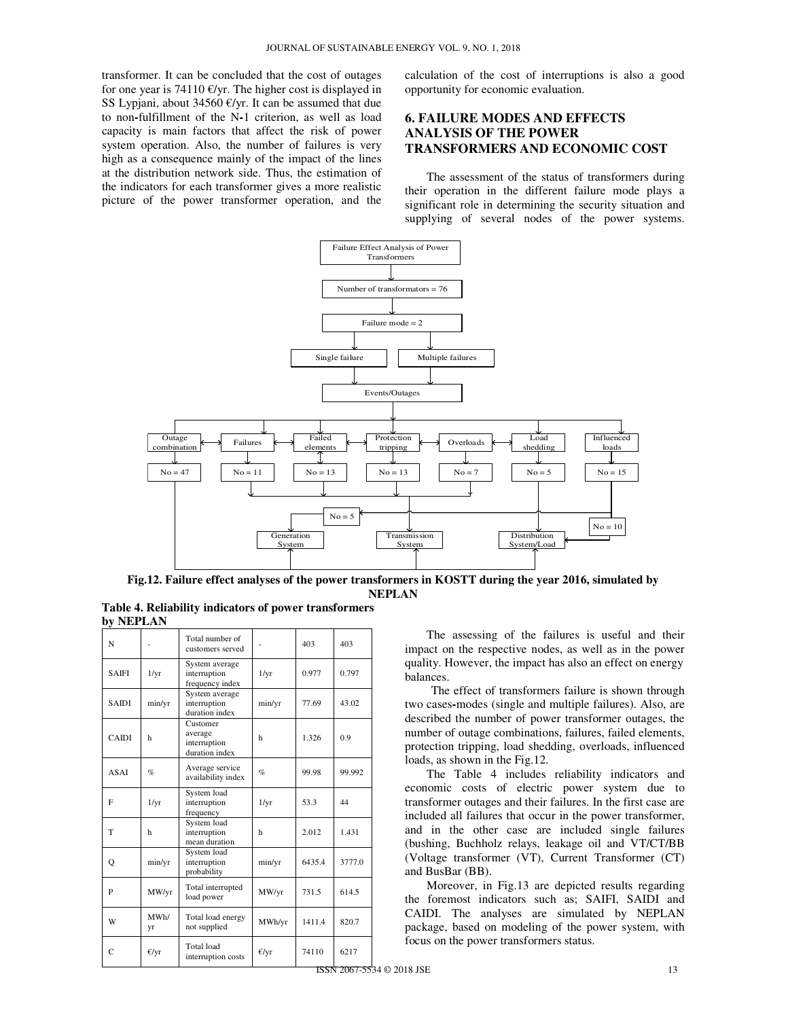transformer. It can be concluded that the cost of outages for one year is 74110  $\epsilon$ /yr. The higher cost is displayed in SS Lypjani, about 34560 €/yr. It can be assumed that due to non**-**fulfillment of the N**-**1 criterion, as well as load capacity is main factors that affect the risk of power system operation. Also, the number of failures is very high as a consequence mainly of the impact of the lines at the distribution network side. Thus, the estimation of the indicators for each transformer gives a more realistic picture of the power transformer operation, and the calculation of the cost of interruptions is also a good opportunity for economic evaluation.

# **6. FAILURE MODES AND EFFECTS ANALYSIS OF THE POWER TRANSFORMERS AND ECONOMIC COST**

The assessment of the status of transformers during their operation in the different failure mode plays a significant role in determining the security situation and supplying of several nodes of the power systems.



**Fig.12. Failure effect analyses of the power transformers in KOSTT during the year 2016, simulated by NEPLAN Table 4. Reliability indicators of power transformers** 

| Table 4. Reliability indicators of power transformers<br>by NEPLAN |  |                 |  |  |     |  |  |
|--------------------------------------------------------------------|--|-----------------|--|--|-----|--|--|
|                                                                    |  | Total number of |  |  | 403 |  |  |

| N            |                 | Total number of<br>customers served                   |                 | 403    | 403    |
|--------------|-----------------|-------------------------------------------------------|-----------------|--------|--------|
| <b>SAIFI</b> | $1/\mathrm{yr}$ | System average<br>interruption<br>frequency index     | $1/\mathrm{yr}$ | 0.977  | 0.797  |
| <b>SAIDI</b> | min/yr          | System average<br>interruption<br>duration index      | min/yr          | 77.69  | 43.02  |
| <b>CAIDI</b> | h               | Customer<br>average<br>interruption<br>duration index | h               | 1.326  | 0.9    |
| ASAI         | $\%$            | Average service<br>availability index                 | $\%$            | 99.98  | 99.992 |
| F            | $1/\mathrm{yr}$ | System load<br>interruption<br>frequency              | $1/\mathrm{yr}$ | 53.3   | 44     |
| T            | h               | System load<br>interruption<br>mean duration          | h               | 2.012  | 1.431  |
| Q            | min/yr          | System load<br>interruption<br>probability            | min/yr          | 6435.4 | 3777.0 |
| P            | MW/yr           | Total interrupted<br>load power                       | MW/yr           | 731.5  | 614.5  |
| W            | MWh/<br>yr      | Total load energy<br>not supplied                     | MWh/yr          | 1411.4 | 820.7  |
| C            | €/yr            | Total load<br>interruption costs                      | $\epsilon$ /yr  | 74110  | 6217   |

The assessing of the failures is useful and their impact on the respective nodes, as well as in the power quality. However, the impact has also an effect on energy balances.

 The effect of transformers failure is shown through two cases**-**modes (single and multiple failures). Also, are described the number of power transformer outages, the number of outage combinations, failures, failed elements, protection tripping, load shedding, overloads, influenced loads, as shown in the Fig.12.

The Table 4 includes reliability indicators and economic costs of electric power system due to transformer outages and their failures. In the first case are included all failures that occur in the power transformer, and in the other case are included single failures (bushing, Buchholz relays, leakage oil and VT/CT/BB (Voltage transformer (VT), Current Transformer (CT) and BusBar (BB).

Moreover, in Fig.13 are depicted results regarding the foremost indicators such as; SAIFI, SAIDI and CAIDI. The analyses are simulated by NEPLAN package, based on modeling of the power system, with focus on the power transformers status.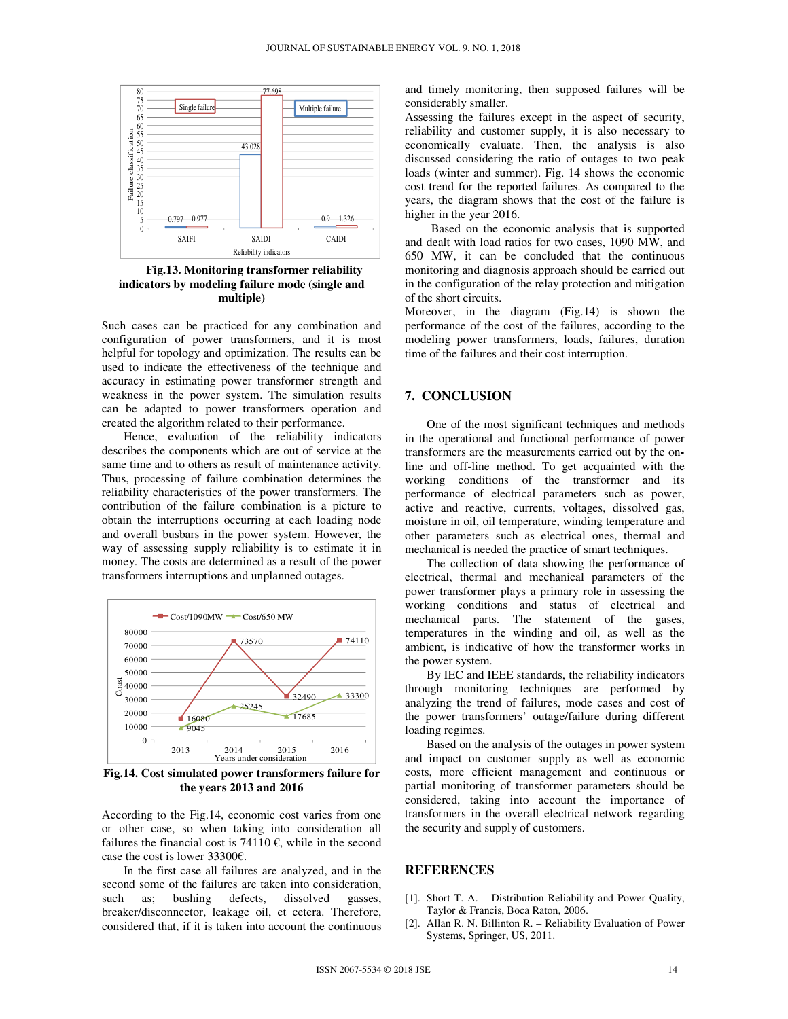

**Fig.13. Monitoring transformer reliability indicators by modeling failure mode (single and multiple)** 

Such cases can be practiced for any combination and configuration of power transformers, and it is most helpful for topology and optimization. The results can be used to indicate the effectiveness of the technique and accuracy in estimating power transformer strength and weakness in the power system. The simulation results can be adapted to power transformers operation and created the algorithm related to their performance.

Hence, evaluation of the reliability indicators describes the components which are out of service at the same time and to others as result of maintenance activity. Thus, processing of failure combination determines the reliability characteristics of the power transformers. The contribution of the failure combination is a picture to obtain the interruptions occurring at each loading node and overall busbars in the power system. However, the way of assessing supply reliability is to estimate it in money. The costs are determined as a result of the power transformers interruptions and unplanned outages.



**Fig.14. Cost simulated power transformers failure for the years 2013 and 2016**

According to the Fig.14, economic cost varies from one or other case, so when taking into consideration all failures the financial cost is 74110  $\epsilon$ , while in the second case the cost is lower 33300€.

In the first case all failures are analyzed, and in the second some of the failures are taken into consideration, such as; bushing defects, dissolved gasses, breaker/disconnector, leakage oil, et cetera. Therefore, considered that, if it is taken into account the continuous and timely monitoring, then supposed failures will be considerably smaller.

Assessing the failures except in the aspect of security, reliability and customer supply, it is also necessary to economically evaluate. Then, the analysis is also discussed considering the ratio of outages to two peak loads (winter and summer). Fig. 14 shows the economic cost trend for the reported failures. As compared to the years, the diagram shows that the cost of the failure is higher in the year 2016.

Based on the economic analysis that is supported and dealt with load ratios for two cases, 1090 MW, and 650 MW, it can be concluded that the continuous monitoring and diagnosis approach should be carried out in the configuration of the relay protection and mitigation of the short circuits.

Moreover, in the diagram (Fig.14) is shown the performance of the cost of the failures, according to the modeling power transformers, loads, failures, duration time of the failures and their cost interruption.

### **7. CONCLUSION**

One of the most significant techniques and methods in the operational and functional performance of power transformers are the measurements carried out by the online and off**-**line method. To get acquainted with the working conditions of the transformer and its performance of electrical parameters such as power, active and reactive, currents, voltages, dissolved gas, moisture in oil, oil temperature, winding temperature and other parameters such as electrical ones, thermal and mechanical is needed the practice of smart techniques.

The collection of data showing the performance of electrical, thermal and mechanical parameters of the power transformer plays a primary role in assessing the working conditions and status of electrical and mechanical parts. The statement of the gases, temperatures in the winding and oil, as well as the ambient, is indicative of how the transformer works in the power system.

By IEC and IEEE standards, the reliability indicators through monitoring techniques are performed by analyzing the trend of failures, mode cases and cost of the power transformers' outage/failure during different loading regimes.

Based on the analysis of the outages in power system and impact on customer supply as well as economic costs, more efficient management and continuous or partial monitoring of transformer parameters should be considered, taking into account the importance of transformers in the overall electrical network regarding the security and supply of customers.

#### **REFERENCES**

- [1]. Short T. A. Distribution Reliability and Power Quality, Taylor & Francis, Boca Raton, 2006.
- [2]. Allan R. N. Billinton R. Reliability Evaluation of Power Systems, Springer, US, 2011.